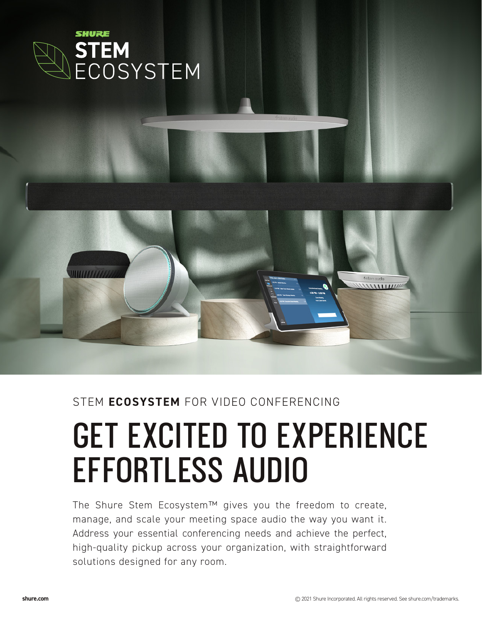

## STEM **ECOSYSTEM** FOR VIDEO CONFERENCING

# **GET EXCITED TO EXPERIENCE EFFORTLESS AUDIO**

The Shure Stem Ecosystem™ gives you the freedom to create, manage, and scale your meeting space audio the way you want it. Address your essential conferencing needs and achieve the perfect, high-quality pickup across your organization, with straightforward solutions designed for any room.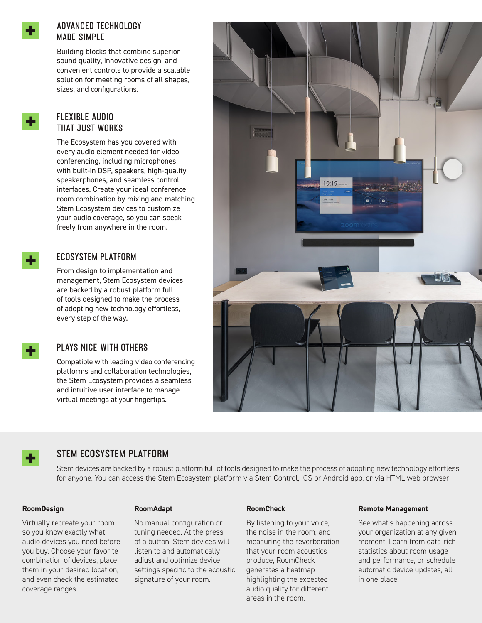

## **ADVANCED TECHNOLOGY MADE SIMPLE**

Building blocks that combine superior sound quality, innovative design, and convenient controls to provide a scalable solution for meeting rooms of all shapes, sizes, and configurations.

## **FLEXIBLE AUDIO THAT JUST WORKS**

The Ecosystem has you covered with every audio element needed for video conferencing, including microphones with built-in DSP, speakers, high-quality speakerphones, and seamless control interfaces. Create your ideal conference room combination by mixing and matching Stem Ecosystem devices to customize your audio coverage, so you can speak freely from anywhere in the room.

## **ECOSYSTEM PLATFORM**

From design to implementation and management, Stem Ecosystem devices are backed by a robust platform full of tools designed to make the process of adopting new technology effortless, every step of the way.

## **PLAYS NICE WITH OTHERS**

Compatible with leading video conferencing platforms and collaboration technologies, the Stem Ecosystem provides a seamless and intuitive user interface to manage virtual meetings at your fingertips.





## **STEM ECOSYSTEM PLATFORM**

Stem devices are backed by a robust platform full of tools designed to make the process of adopting new technology effortless for anyone. You can access the Stem Ecosystem platform via Stem Control, iOS or Android app, or via HTML web browser.

#### **RoomDesign**

#### **RoomAdapt**

Virtually recreate your room so you know exactly what audio devices you need before you buy. Choose your favorite combination of devices, place them in your desired location, and even check the estimated coverage ranges.

No manual configuration or tuning needed. At the press of a button, Stem devices will listen to and automatically adjust and optimize device settings specific to the acoustic signature of your room.

#### **RoomCheck**

By listening to your voice, the noise in the room, and measuring the reverberation that your room acoustics produce, RoomCheck generates a heatmap highlighting the expected audio quality for different areas in the room.

#### **Remote Management**

See what's happening across your organization at any given moment. Learn from data-rich statistics about room usage and performance, or schedule automatic device updates, all in one place.